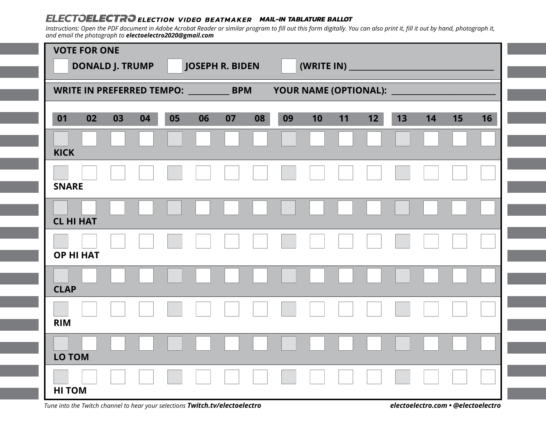## **ELECTOELECTRO** ELECTION VIDEO BEATMAKER MAIL-IN TABLATURE BALLOT

*Instructions: Open the PDF document in Adobe Acrobat Reader or similar program to fill out this form digitally. You can also print it, fill it out by hand, photograph it, and email the photograph to electoelectro2020@gmail.com*

|                        | <b>VOTE FOR ONE</b> |    |                        |                                                  |    |    |                         |    |    |                 |    |    |    |    |  |
|------------------------|---------------------|----|------------------------|--------------------------------------------------|----|----|-------------------------|----|----|-----------------|----|----|----|----|--|
| <b>DONALD J. TRUMP</b> |                     |    | <b>JOSEPH R. BIDEN</b> |                                                  |    |    | (WRITE IN)              |    |    |                 |    |    |    |    |  |
|                        |                     |    |                        | WRITE IN PREFERRED TEMPO: ________<br><b>BPM</b> |    |    | YOUR NAME (OPTIONAL): _ |    |    |                 |    |    |    |    |  |
| 02<br>01               | 03                  | 04 | 05                     | 06                                               | 07 | 08 | 09                      | 10 | 11 | 12 <sub>2</sub> | 13 | 14 | 15 | 16 |  |
| <b>KICK</b>            |                     |    |                        |                                                  |    |    |                         |    |    |                 |    |    |    |    |  |
| <b>SNARE</b>           |                     |    |                        |                                                  |    |    |                         |    |    |                 |    |    |    |    |  |
| <b>CL HI HAT</b>       |                     |    |                        |                                                  |    |    |                         |    |    |                 |    |    |    |    |  |
| <b>OP HI HAT</b>       |                     |    |                        |                                                  |    |    |                         |    |    |                 |    |    |    |    |  |
| <b>CLAP</b>            |                     |    |                        |                                                  |    |    |                         |    |    |                 |    |    |    |    |  |
| <b>RIM</b>             |                     |    |                        |                                                  |    |    |                         |    |    |                 |    |    |    |    |  |
| LO TOM                 |                     |    |                        |                                                  |    |    |                         |    |    |                 |    |    |    |    |  |
| <b>HI TOM</b>          |                     |    |                        |                                                  |    |    |                         |    |    |                 |    |    |    |    |  |